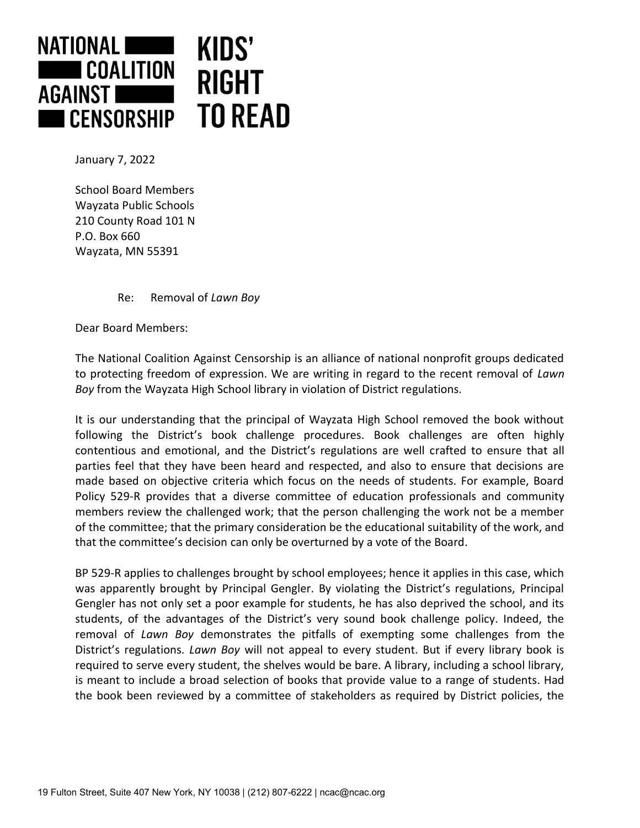

January 7, 2022

School Board Members Wayzata Public Schools 210 County Road 101 N P.O. Box 660 Wayzata, MN 55391

Re: Removal of *Lawn Boy*

Dear Board Members:

The National Coalition Against Censorship is an alliance of national nonprofit groups dedicated to protecting freedom of expression. We are writing in regard to the recent removal of *Lawn Boy* from the Wayzata High School library in violation of District regulations.

It is our understanding that the principal of Wayzata High School removed the book without following the District's book challenge procedures. Book challenges are often highly contentious and emotional, and the District's regulations are well crafted to ensure that all parties feel that they have been heard and respected, and also to ensure that decisions are made based on objective criteria which focus on the needs of students. For example, Board Policy 529-R provides that a diverse committee of education professionals and community members review the challenged work; that the person challenging the work not be a member of the committee; that the primary consideration be the educational suitability of the work, and that the committee's decision can only be overturned by a vote of the Board.

BP 529-R applies to challenges brought by school employees; hence it applies in this case, which was apparently brought by Principal Gengler. By violating the District's regulations, Principal Gengler has not only set a poor example for students, he has also deprived the school, and its students, of the advantages of the District's very sound book challenge policy. Indeed, the removal of *Lawn Boy* demonstrates the pitfalls of exempting some challenges from the District's regulations. *Lawn Boy* will not appeal to every student. But if every library book is required to serve every student, the shelves would be bare. A library, including a school library, is meant to include a broad selection of books that provide value to a range of students. Had the book been reviewed by a committee of stakeholders as required by District policies, the